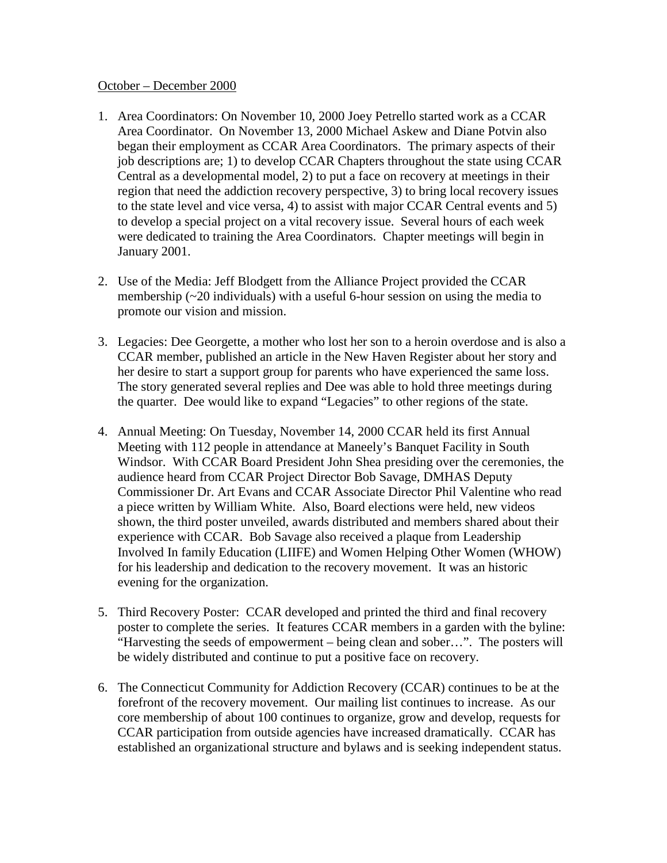## October – December 2000

- 1. Area Coordinators: On November 10, 2000 Joey Petrello started work as a CCAR Area Coordinator. On November 13, 2000 Michael Askew and Diane Potvin also began their employment as CCAR Area Coordinators. The primary aspects of their job descriptions are; 1) to develop CCAR Chapters throughout the state using CCAR Central as a developmental model, 2) to put a face on recovery at meetings in their region that need the addiction recovery perspective, 3) to bring local recovery issues to the state level and vice versa, 4) to assist with major CCAR Central events and 5) to develop a special project on a vital recovery issue. Several hours of each week were dedicated to training the Area Coordinators. Chapter meetings will begin in January 2001.
- 2. Use of the Media: Jeff Blodgett from the Alliance Project provided the CCAR membership  $(\sim 20$  individuals) with a useful 6-hour session on using the media to promote our vision and mission.
- 3. Legacies: Dee Georgette, a mother who lost her son to a heroin overdose and is also a CCAR member, published an article in the New Haven Register about her story and her desire to start a support group for parents who have experienced the same loss. The story generated several replies and Dee was able to hold three meetings during the quarter. Dee would like to expand "Legacies" to other regions of the state.
- 4. Annual Meeting: On Tuesday, November 14, 2000 CCAR held its first Annual Meeting with 112 people in attendance at Maneely's Banquet Facility in South Windsor. With CCAR Board President John Shea presiding over the ceremonies, the audience heard from CCAR Project Director Bob Savage, DMHAS Deputy Commissioner Dr. Art Evans and CCAR Associate Director Phil Valentine who read a piece written by William White. Also, Board elections were held, new videos shown, the third poster unveiled, awards distributed and members shared about their experience with CCAR. Bob Savage also received a plaque from Leadership Involved In family Education (LIIFE) and Women Helping Other Women (WHOW) for his leadership and dedication to the recovery movement. It was an historic evening for the organization.
- 5. Third Recovery Poster: CCAR developed and printed the third and final recovery poster to complete the series. It features CCAR members in a garden with the byline: "Harvesting the seeds of empowerment – being clean and sober…". The posters will be widely distributed and continue to put a positive face on recovery.
- 6. The Connecticut Community for Addiction Recovery (CCAR) continues to be at the forefront of the recovery movement. Our mailing list continues to increase. As our core membership of about 100 continues to organize, grow and develop, requests for CCAR participation from outside agencies have increased dramatically. CCAR has established an organizational structure and bylaws and is seeking independent status.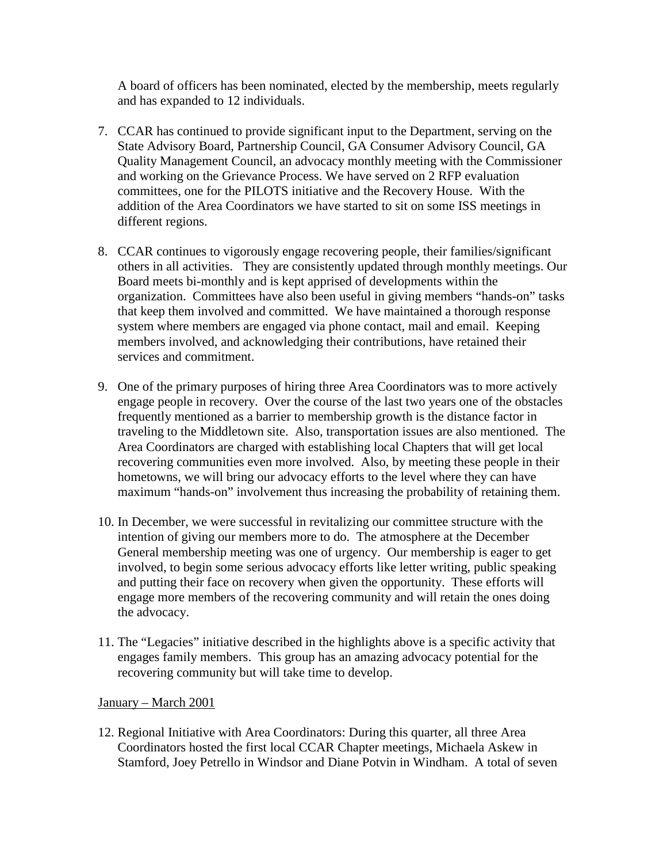A board of officers has been nominated, elected by the membership, meets regularly and has expanded to 12 individuals.

- 7. CCAR has continued to provide significant input to the Department, serving on the State Advisory Board, Partnership Council, GA Consumer Advisory Council, GA Quality Management Council, an advocacy monthly meeting with the Commissioner and working on the Grievance Process. We have served on 2 RFP evaluation committees, one for the PILOTS initiative and the Recovery House. With the addition of the Area Coordinators we have started to sit on some ISS meetings in different regions.
- 8. CCAR continues to vigorously engage recovering people, their families/significant others in all activities. They are consistently updated through monthly meetings. Our Board meets bi-monthly and is kept apprised of developments within the organization. Committees have also been useful in giving members "hands-on" tasks that keep them involved and committed. We have maintained a thorough response system where members are engaged via phone contact, mail and email. Keeping members involved, and acknowledging their contributions, have retained their services and commitment.
- 9. One of the primary purposes of hiring three Area Coordinators was to more actively engage people in recovery. Over the course of the last two years one of the obstacles frequently mentioned as a barrier to membership growth is the distance factor in traveling to the Middletown site. Also, transportation issues are also mentioned. The Area Coordinators are charged with establishing local Chapters that will get local recovering communities even more involved. Also, by meeting these people in their hometowns, we will bring our advocacy efforts to the level where they can have maximum "hands-on" involvement thus increasing the probability of retaining them.
- 10. In December, we were successful in revitalizing our committee structure with the intention of giving our members more to do. The atmosphere at the December General membership meeting was one of urgency. Our membership is eager to get involved, to begin some serious advocacy efforts like letter writing, public speaking and putting their face on recovery when given the opportunity. These efforts will engage more members of the recovering community and will retain the ones doing the advocacy.
- 11. The "Legacies" initiative described in the highlights above is a specific activity that engages family members. This group has an amazing advocacy potential for the recovering community but will take time to develop.

## January – March 2001

12. Regional Initiative with Area Coordinators: During this quarter, all three Area Coordinators hosted the first local CCAR Chapter meetings, Michaela Askew in Stamford, Joey Petrello in Windsor and Diane Potvin in Windham. A total of seven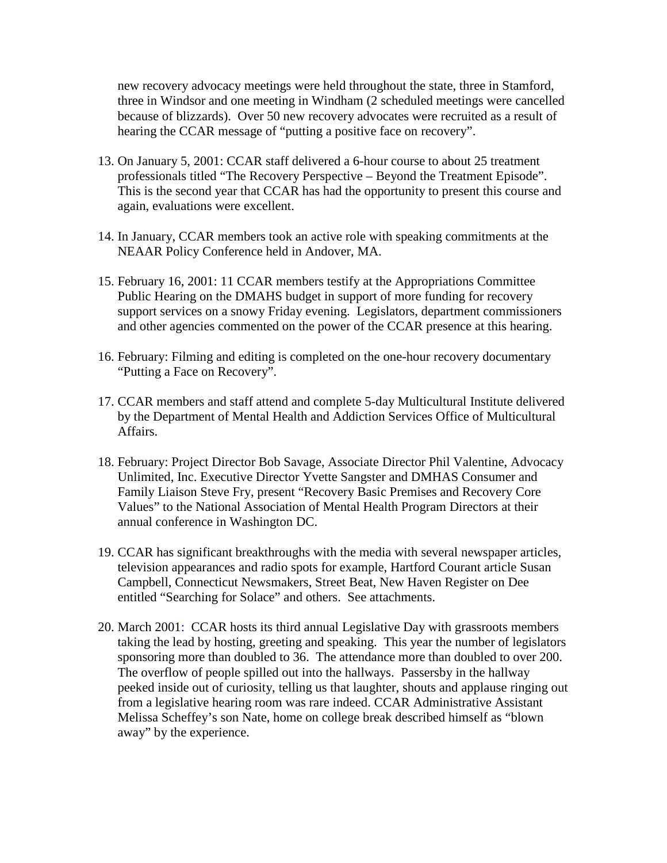new recovery advocacy meetings were held throughout the state, three in Stamford, three in Windsor and one meeting in Windham (2 scheduled meetings were cancelled because of blizzards). Over 50 new recovery advocates were recruited as a result of hearing the CCAR message of "putting a positive face on recovery".

- 13. On January 5, 2001: CCAR staff delivered a 6-hour course to about 25 treatment professionals titled "The Recovery Perspective – Beyond the Treatment Episode". This is the second year that CCAR has had the opportunity to present this course and again, evaluations were excellent.
- 14. In January, CCAR members took an active role with speaking commitments at the NEAAR Policy Conference held in Andover, MA.
- 15. February 16, 2001: 11 CCAR members testify at the Appropriations Committee Public Hearing on the DMAHS budget in support of more funding for recovery support services on a snowy Friday evening. Legislators, department commissioners and other agencies commented on the power of the CCAR presence at this hearing.
- 16. February: Filming and editing is completed on the one-hour recovery documentary "Putting a Face on Recovery".
- 17. CCAR members and staff attend and complete 5-day Multicultural Institute delivered by the Department of Mental Health and Addiction Services Office of Multicultural Affairs.
- 18. February: Project Director Bob Savage, Associate Director Phil Valentine, Advocacy Unlimited, Inc. Executive Director Yvette Sangster and DMHAS Consumer and Family Liaison Steve Fry, present "Recovery Basic Premises and Recovery Core Values" to the National Association of Mental Health Program Directors at their annual conference in Washington DC.
- 19. CCAR has significant breakthroughs with the media with several newspaper articles, television appearances and radio spots for example, Hartford Courant article Susan Campbell, Connecticut Newsmakers, Street Beat, New Haven Register on Dee entitled "Searching for Solace" and others. See attachments.
- 20. March 2001: CCAR hosts its third annual Legislative Day with grassroots members taking the lead by hosting, greeting and speaking. This year the number of legislators sponsoring more than doubled to 36. The attendance more than doubled to over 200. The overflow of people spilled out into the hallways. Passersby in the hallway peeked inside out of curiosity, telling us that laughter, shouts and applause ringing out from a legislative hearing room was rare indeed. CCAR Administrative Assistant Melissa Scheffey's son Nate, home on college break described himself as "blown away" by the experience.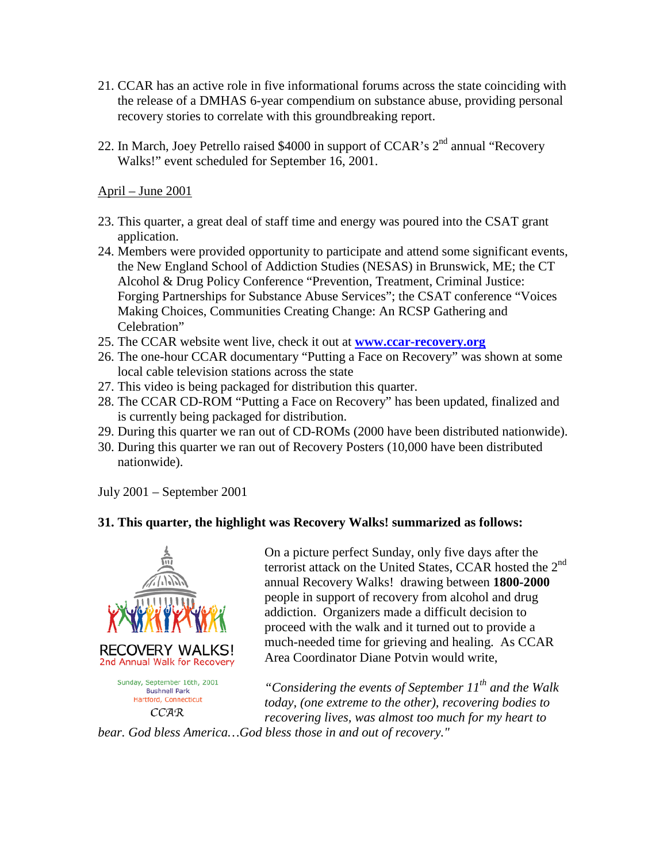- 21. CCAR has an active role in five informational forums across the state coinciding with the release of a DMHAS 6-year compendium on substance abuse, providing personal recovery stories to correlate with this groundbreaking report.
- 22. In March, Joey Petrello raised \$4000 in support of CCAR's  $2<sup>nd</sup>$  annual "Recovery Walks!" event scheduled for September 16, 2001.

April – June 2001

- 23. This quarter, a great deal of staff time and energy was poured into the CSAT grant application.
- 24. Members were provided opportunity to participate and attend some significant events, the New England School of Addiction Studies (NESAS) in Brunswick, ME; the CT Alcohol & Drug Policy Conference "Prevention, Treatment, Criminal Justice: Forging Partnerships for Substance Abuse Services"; the CSAT conference "Voices Making Choices, Communities Creating Change: An RCSP Gathering and Celebration"
- 25. The CCAR website went live, check it out at **[www.ccar-recovery.org](http://www.ccar-recovery.org/)**
- 26. The one-hour CCAR documentary "Putting a Face on Recovery" was shown at some local cable television stations across the state
- 27. This video is being packaged for distribution this quarter.
- 28. The CCAR CD-ROM "Putting a Face on Recovery" has been updated, finalized and is currently being packaged for distribution.
- 29. During this quarter we ran out of CD-ROMs (2000 have been distributed nationwide).
- 30. During this quarter we ran out of Recovery Posters (10,000 have been distributed nationwide).

July 2001 – September 2001

## **31. This quarter, the highlight was Recovery Walks! summarized as follows:**



On a picture perfect Sunday, only five days after the terrorist attack on the United States, CCAR hosted the  $2<sup>nd</sup>$ annual Recovery Walks! drawing between **1800-2000** people in support of recovery from alcohol and drug addiction. Organizers made a difficult decision to proceed with the walk and it turned out to provide a much-needed time for grieving and healing. As CCAR Area Coordinator Diane Potvin would write,

*"Considering the events of September 11th and the Walk today, (one extreme to the other), recovering bodies to recovering lives, was almost too much for my heart to* 

*bear. God bless America…God bless those in and out of recovery."*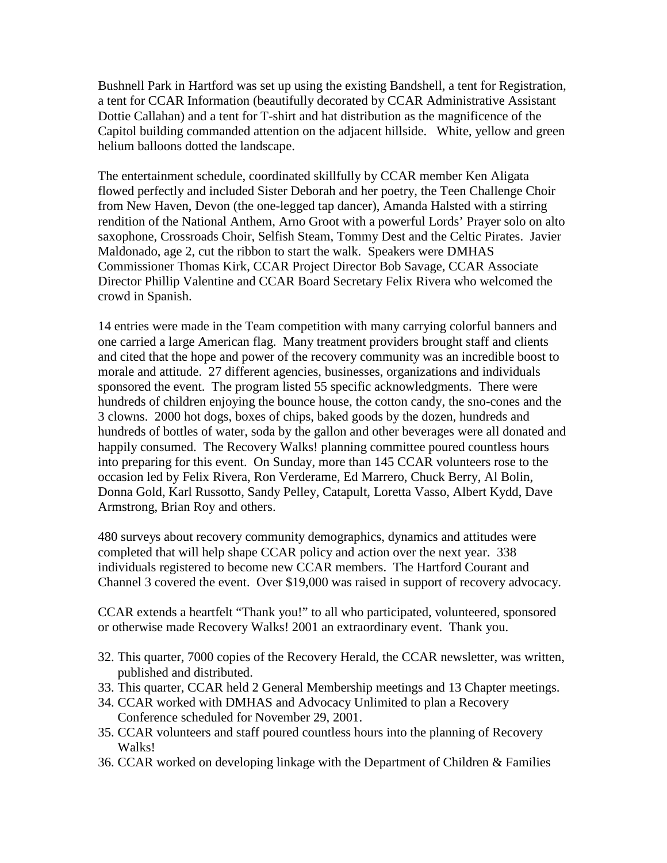Bushnell Park in Hartford was set up using the existing Bandshell, a tent for Registration, a tent for CCAR Information (beautifully decorated by CCAR Administrative Assistant Dottie Callahan) and a tent for T-shirt and hat distribution as the magnificence of the Capitol building commanded attention on the adjacent hillside. White, yellow and green helium balloons dotted the landscape.

The entertainment schedule, coordinated skillfully by CCAR member Ken Aligata flowed perfectly and included Sister Deborah and her poetry, the Teen Challenge Choir from New Haven, Devon (the one-legged tap dancer), Amanda Halsted with a stirring rendition of the National Anthem, Arno Groot with a powerful Lords' Prayer solo on alto saxophone, Crossroads Choir, Selfish Steam, Tommy Dest and the Celtic Pirates. Javier Maldonado, age 2, cut the ribbon to start the walk. Speakers were DMHAS Commissioner Thomas Kirk, CCAR Project Director Bob Savage, CCAR Associate Director Phillip Valentine and CCAR Board Secretary Felix Rivera who welcomed the crowd in Spanish.

14 entries were made in the Team competition with many carrying colorful banners and one carried a large American flag. Many treatment providers brought staff and clients and cited that the hope and power of the recovery community was an incredible boost to morale and attitude. 27 different agencies, businesses, organizations and individuals sponsored the event. The program listed 55 specific acknowledgments. There were hundreds of children enjoying the bounce house, the cotton candy, the sno-cones and the 3 clowns. 2000 hot dogs, boxes of chips, baked goods by the dozen, hundreds and hundreds of bottles of water, soda by the gallon and other beverages were all donated and happily consumed. The Recovery Walks! planning committee poured countless hours into preparing for this event. On Sunday, more than 145 CCAR volunteers rose to the occasion led by Felix Rivera, Ron Verderame, Ed Marrero, Chuck Berry, Al Bolin, Donna Gold, Karl Russotto, Sandy Pelley, Catapult, Loretta Vasso, Albert Kydd, Dave Armstrong, Brian Roy and others.

480 surveys about recovery community demographics, dynamics and attitudes were completed that will help shape CCAR policy and action over the next year. 338 individuals registered to become new CCAR members. The Hartford Courant and Channel 3 covered the event. Over \$19,000 was raised in support of recovery advocacy.

CCAR extends a heartfelt "Thank you!" to all who participated, volunteered, sponsored or otherwise made Recovery Walks! 2001 an extraordinary event. Thank you.

- 32. This quarter, 7000 copies of the Recovery Herald, the CCAR newsletter, was written, published and distributed.
- 33. This quarter, CCAR held 2 General Membership meetings and 13 Chapter meetings.
- 34. CCAR worked with DMHAS and Advocacy Unlimited to plan a Recovery Conference scheduled for November 29, 2001.
- 35. CCAR volunteers and staff poured countless hours into the planning of Recovery Walks!
- 36. CCAR worked on developing linkage with the Department of Children & Families